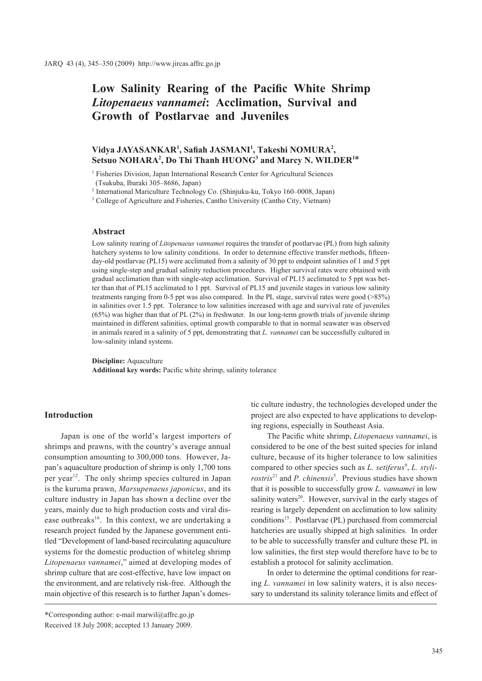# **Low Salinity Rearing of the Pacific White Shrimp**  *Litopenaeus vannamei***: Acclimation, Survival and Growth of Postlarvae and Juveniles**

# Vidya JAYASANKAR<sup>1</sup>, Safiah JASMANI<sup>1</sup>, Takeshi NOMURA<sup>2</sup>, Setsuo NOHARA<sup>2</sup>, Do Thi Thanh HUONG<sup>3</sup> and Marcy N. WILDER<sup>1\*</sup>

<sup>1</sup> Fisheries Division, Japan International Research Center for Agricultural Sciences (Tsukuba, Ibaraki 305–8686, Japan)

<sup>2</sup> International Mariculture Technology Co. (Shinjuku-ku, Tokyo 160–0008, Japan)

<sup>3</sup> College of Agriculture and Fisheries, Cantho University (Cantho City, Vietnam)

#### **Abstract**

Low salinity rearing of *Litopenaeus vannamei* requires the transfer of postlarvae (PL) from high salinity hatchery systems to low salinity conditions. In order to determine effective transfer methods, fifteenday-old postlarvae (PL15) were acclimated from a salinity of 30 ppt to endpoint salinities of 1 and 5 ppt using single-step and gradual salinity reduction procedures. Higher survival rates were obtained with gradual acclimation than with single-step acclimation. Survival of PL15 acclimated to 5 ppt was better than that of PL15 acclimated to 1 ppt. Survival of PL15 and juvenile stages in various low salinity treatments ranging from 0-5 ppt was also compared. In the PL stage, survival rates were good (>85%) in salinities over 1.5 ppt. Tolerance to low salinities increased with age and survival rate of juveniles (65%) was higher than that of PL (2%) in freshwater. In our long-term growth trials of juvenile shrimp maintained in different salinities, optimal growth comparable to that in normal seawater was observed in animals reared in a salinity of 5 ppt, demonstrating that *L. vannamei* can be successfully cultured in low-salinity inland systems.

**Discipline:** Aquaculture **Additional key words:** Pacific white shrimp, salinity tolerance

## **Introduction**

Japan is one of the world's largest importers of shrimps and prawns, with the country's average annual consumption amounting to 300,000 tons. However, Japan's aquaculture production of shrimp is only 1,700 tons per year<sup>12</sup>. The only shrimp species cultured in Japan is the kuruma prawn, *Marsupenaeus japonicus*, and its culture industry in Japan has shown a decline over the years, mainly due to high production costs and viral disease outbreaks<sup>16</sup>. In this context, we are undertaking a research project funded by the Japanese government entitled "Development of land-based recirculating aquaculture systems for the domestic production of whiteleg shrimp *Litopenaeus vannamei*," aimed at developing modes of shrimp culture that are cost-effective, have low impact on the environment, and are relatively risk-free. Although the main objective of this research is to further Japan's domes-

The Pacific white shrimp, *Litopenaeus vannamei*, is considered to be one of the best suited species for inland culture, because of its higher tolerance to low salinities compared to other species such as *L. setiferus*<sup>9</sup>, *L. stylirostris*<sup>21</sup> and *P. chinensis*<sup>5</sup>. Previous studies have shown that it is possible to successfully grow *L. vannamei* in low salinity waters<sup>20</sup>. However, survival in the early stages of rearing is largely dependent on acclimation to low salinity conditions15. Postlarvae (PL) purchased from commercial hatcheries are usually shipped at high salinities. In order to be able to successfully transfer and culture these PL in low salinities, the first step would therefore have to be to establish a protocol for salinity acclimation.

In order to determine the optimal conditions for rearing *L. vannamei* in low salinity waters, it is also necessary to understand its salinity tolerance limits and effect of

tic culture industry, the technologies developed under the project are also expected to have applications to developing regions, especially in Southeast Asia.

<sup>\*</sup>Corresponding author: e-mail marwil@affrc.go.jp Received 18 July 2008; accepted 13 January 2009.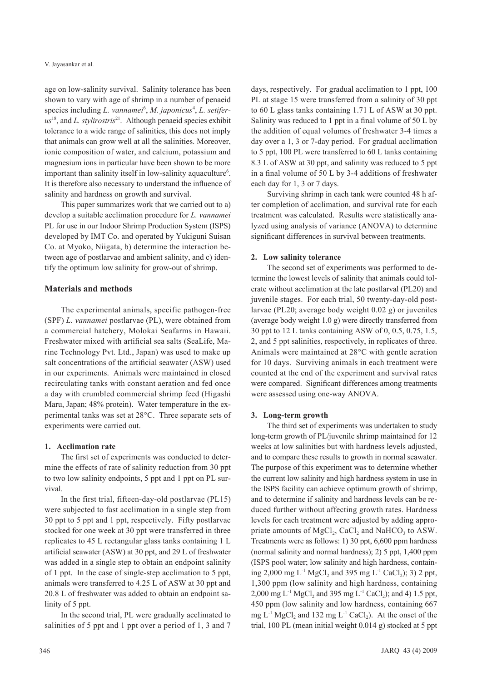V. Jayasankar et al.

age on low-salinity survival. Salinity tolerance has been shown to vary with age of shrimp in a number of penaeid species including *L. vannamei*<sup>6</sup>, *M. japonicus<sup>4</sup>*, *L. setifer* $us^{18}$ , and *L. stylirostris*<sup>21</sup>. Although penaeid species exhibit tolerance to a wide range of salinities, this does not imply that animals can grow well at all the salinities. Moreover, ionic composition of water, and calcium, potassium and magnesium ions in particular have been shown to be more important than salinity itself in low-salinity aquaculture<sup>6</sup>. It is therefore also necessary to understand the influence of salinity and hardness on growth and survival.

This paper summarizes work that we carried out to a) develop a suitable acclimation procedure for *L. vannamei* PL for use in our Indoor Shrimp Production System (ISPS) developed by IMT Co. and operated by Yukiguni Suisan Co. at Myoko, Niigata, b) determine the interaction between age of postlarvae and ambient salinity, and c) identify the optimum low salinity for grow-out of shrimp.

# **Materials and methods**

The experimental animals, specific pathogen-free (SPF) *L. vannamei* postlarvae (PL), were obtained from a commercial hatchery, Molokai Seafarms in Hawaii. Freshwater mixed with artificial sea salts (SeaLife, Marine Technology Pvt. Ltd., Japan) was used to make up salt concentrations of the artificial seawater (ASW) used in our experiments. Animals were maintained in closed recirculating tanks with constant aeration and fed once a day with crumbled commercial shrimp feed (Higashi Maru, Japan; 48% protein). Water temperature in the experimental tanks was set at 28°C. Three separate sets of experiments were carried out.

## **1. Acclimation rate**

The first set of experiments was conducted to determine the effects of rate of salinity reduction from 30 ppt to two low salinity endpoints, 5 ppt and 1 ppt on PL survival.

In the first trial, fifteen-day-old postlarvae (PL15) were subjected to fast acclimation in a single step from 30 ppt to 5 ppt and 1 ppt, respectively. Fifty postlarvae stocked for one week at 30 ppt were transferred in three replicates to 45 L rectangular glass tanks containing 1 L artificial seawater (ASW) at 30 ppt, and 29 L of freshwater was added in a single step to obtain an endpoint salinity of 1 ppt. In the case of single-step acclimation to 5 ppt, animals were transferred to 4.25 L of ASW at 30 ppt and 20.8 L of freshwater was added to obtain an endpoint salinity of 5 ppt.

In the second trial, PL were gradually acclimated to salinities of 5 ppt and 1 ppt over a period of 1, 3 and 7 days, respectively. For gradual acclimation to 1 ppt, 100 PL at stage 15 were transferred from a salinity of 30 ppt to 60 L glass tanks containing 1.71 L of ASW at 30 ppt. Salinity was reduced to 1 ppt in a final volume of 50 L by the addition of equal volumes of freshwater 3-4 times a day over a 1, 3 or 7-day period. For gradual acclimation to 5 ppt, 100 PL were transferred to 60 L tanks containing 8.3 L of ASW at 30 ppt, and salinity was reduced to 5 ppt in a final volume of 50 L by 3-4 additions of freshwater each day for 1, 3 or 7 days.

Surviving shrimp in each tank were counted 48 h after completion of acclimation, and survival rate for each treatment was calculated. Results were statistically analyzed using analysis of variance (ANOVA) to determine significant differences in survival between treatments.

# **2. Low salinity tolerance**

The second set of experiments was performed to determine the lowest levels of salinity that animals could tolerate without acclimation at the late postlarval (PL20) and juvenile stages. For each trial, 50 twenty-day-old postlarvae (PL20; average body weight 0.02 g) or juveniles (average body weight 1.0 g) were directly transferred from 30 ppt to 12 L tanks containing ASW of 0, 0.5, 0.75, 1.5, 2, and 5 ppt salinities, respectively, in replicates of three. Animals were maintained at 28°C with gentle aeration for 10 days. Surviving animals in each treatment were counted at the end of the experiment and survival rates were compared. Significant differences among treatments were assessed using one-way ANOVA.

# **3. Long-term growth**

The third set of experiments was undertaken to study long-term growth of PL/juvenile shrimp maintained for 12 weeks at low salinities but with hardness levels adjusted, and to compare these results to growth in normal seawater. The purpose of this experiment was to determine whether the current low salinity and high hardness system in use in the ISPS facility can achieve optimum growth of shrimp, and to determine if salinity and hardness levels can be reduced further without affecting growth rates. Hardness levels for each treatment were adjusted by adding appropriate amounts of  $MgCl<sub>2</sub>$ , CaCl<sub>2</sub> and NaHCO<sub>3</sub> to ASW. Treatments were as follows: 1) 30 ppt, 6,600 ppm hardness (normal salinity and normal hardness); 2) 5 ppt, 1,400 ppm (ISPS pool water; low salinity and high hardness, containing 2,000 mg L<sup>-1</sup> MgCl<sub>2</sub> and 395 mg L<sup>-1</sup> CaCl<sub>2</sub>); 3) 2 ppt, 1,300 ppm (low salinity and high hardness, containing 2,000 mg L<sup>-1</sup> MgCl<sub>2</sub> and 395 mg L<sup>-1</sup> CaCl<sub>2</sub>); and 4) 1.5 ppt, 450 ppm (low salinity and low hardness, containing 667 mg  $L^{-1}$  MgCl<sub>2</sub> and 132 mg  $L^{-1}$  CaCl<sub>2</sub>). At the onset of the trial, 100 PL (mean initial weight 0.014 g) stocked at 5 ppt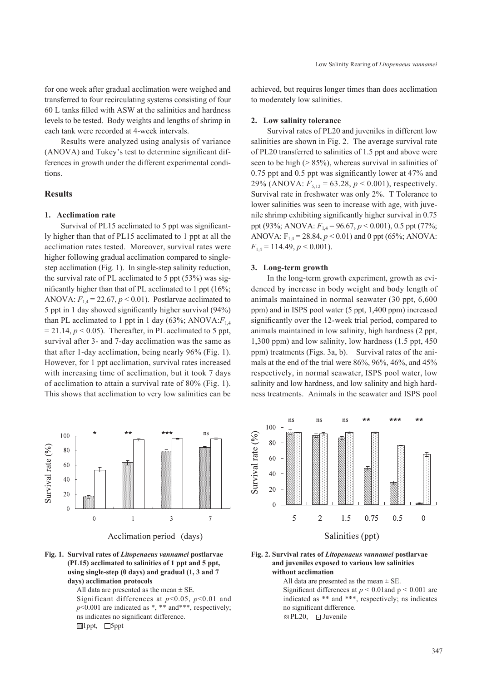for one week after gradual acclimation were weighed and transferred to four recirculating systems consisting of four 60 L tanks filled with ASW at the salinities and hardness levels to be tested. Body weights and lengths of shrimp in each tank were recorded at 4-week intervals.

Results were analyzed using analysis of variance (ANOVA) and Tukey's test to determine significant differences in growth under the different experimental conditions.

## **Results**

#### **1. Acclimation rate**

Survival of PL15 acclimated to 5 ppt was significantly higher than that of PL15 acclimated to 1 ppt at all the acclimation rates tested. Moreover, survival rates were higher following gradual acclimation compared to singlestep acclimation (Fig. 1). In single-step salinity reduction, the survival rate of PL acclimated to 5 ppt (53%) was significantly higher than that of PL acclimated to 1 ppt (16%; ANOVA:  $F_{14} = 22.67$ ,  $p < 0.01$ ). Postlarvae acclimated to 5 ppt in 1 day showed significantly higher survival (94%) than PL acclimated to 1 ppt in 1 day  $(63\%; ANOVA:  $F_{14}$$  $= 21.14$ ,  $p < 0.05$ ). Thereafter, in PL acclimated to 5 ppt, survival after 3- and 7-day acclimation was the same as that after 1-day acclimation, being nearly 96% (Fig. 1). However, for 1 ppt acclimation, survival rates increased with increasing time of acclimation, but it took 7 days of acclimation to attain a survival rate of 80% (Fig. 1). This shows that acclimation to very low salinities can be achieved, but requires longer times than does acclimation to moderately low salinities.

## **2. Low salinity tolerance**

Survival rates of PL20 and juveniles in different low salinities are shown in Fig. 2. The average survival rate of PL20 transferred to salinities of 1.5 ppt and above were seen to be high  $($  > 85%), whereas survival in salinities of 0.75 ppt and 0.5 ppt was significantly lower at 47% and 29% (ANOVA:  $F_{5,12} = 63.28$ ,  $p < 0.001$ ), respectively. Survival rate in freshwater was only 2%. T Tolerance to lower salinities was seen to increase with age, with juvenile shrimp exhibiting significantly higher survival in 0.75 ppt (93%; ANOVA: *F*1,4 = 96.67, *p* < 0.001), 0.5 ppt (77%; ANOVA:  $F_{1,4} = 28.84, p < 0.01$ ) and 0 ppt (65%; ANOVA:  $F_{14} = 114.49, p \le 0.001$ .

#### **3. Long-term growth**

In the long-term growth experiment, growth as evidenced by increase in body weight and body length of animals maintained in normal seawater (30 ppt, 6,600 ppm) and in ISPS pool water (5 ppt, 1,400 ppm) increased significantly over the 12-week trial period, compared to animals maintained in low salinity, high hardness (2 ppt, 1,300 ppm) and low salinity, low hardness (1.5 ppt, 450 ppm) treatments (Figs. 3a, b). Survival rates of the animals at the end of the trial were 86%, 96%, 46%, and 45% respectively, in normal seawater, ISPS pool water, low salinity and low hardness, and low salinity and high hardness treatments. Animals in the seawater and ISPS pool





All data are presented as the mean  $\pm$  SE. Significant differences at *p*<0.05, *p*<0.01 and  $p$ <0.001 are indicated as \*, \*\* and\*\*\*, respectively; ns indicates no significant difference. 1ppt**,** 5ppt



**Fig. 2. Survival rates of** *Litopenaeus vannamei* **postlarvae and juveniles exposed to various low salinities without acclimation** 

All data are presented as the mean  $\pm$  SE. Significant differences at  $p < 0.01$  and  $p < 0.001$  are indicated as \*\* and \*\*\*, respectively; ns indicates no significant difference. **Ex PL20, □ Juvenile**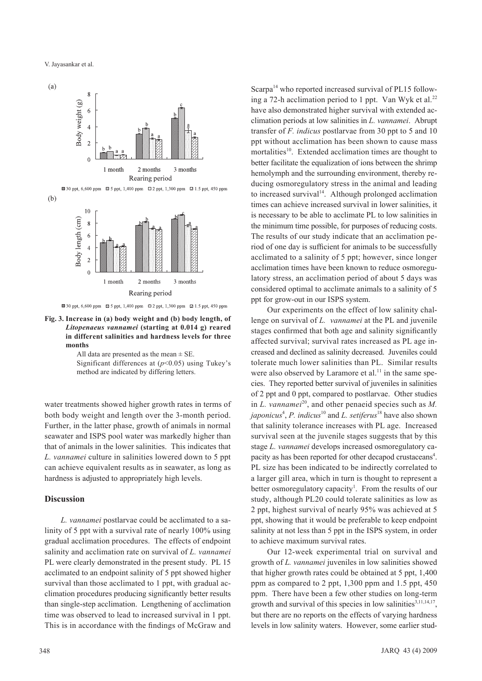

**Fig. 3. Increase in (a) body weight and (b) body length, of** *Litopenaeus vannamei* **(starting at 0.014 g) reared in different salinities and hardness levels for three months** 

All data are presented as the mean  $\pm$  SE. Significant differences at  $(p<0.05)$  using Tukey's method are indicated by differing letters.

water treatments showed higher growth rates in terms of both body weight and length over the 3-month period. Further, in the latter phase, growth of animals in normal seawater and ISPS pool water was markedly higher than that of animals in the lower salinities. This indicates that *L. vannamei* culture in salinities lowered down to 5 ppt can achieve equivalent results as in seawater, as long as hardness is adjusted to appropriately high levels.

### **Discussion**

*L. vannamei* postlarvae could be acclimated to a salinity of 5 ppt with a survival rate of nearly 100% using gradual acclimation procedures. The effects of endpoint salinity and acclimation rate on survival of *L. vannamei* PL were clearly demonstrated in the present study. PL 15 acclimated to an endpoint salinity of 5 ppt showed higher survival than those acclimated to 1 ppt, with gradual acclimation procedures producing significantly better results than single-step acclimation. Lengthening of acclimation time was observed to lead to increased survival in 1 ppt. This is in accordance with the findings of McGraw and Scarpa<sup>14</sup> who reported increased survival of PL15 following a 72-h acclimation period to 1 ppt. Van Wyk et al.<sup>22</sup> have also demonstrated higher survival with extended acclimation periods at low salinities in *L. vannamei*. Abrupt transfer of *F. indicus* postlarvae from 30 ppt to 5 and 10 ppt without acclimation has been shown to cause mass mortalities<sup>10</sup>. Extended acclimation times are thought to better facilitate the equalization of ions between the shrimp hemolymph and the surrounding environment, thereby reducing osmoregulatory stress in the animal and leading to increased survival<sup>14</sup>. Although prolonged acclimation times can achieve increased survival in lower salinities, it is necessary to be able to acclimate PL to low salinities in the minimum time possible, for purposes of reducing costs. The results of our study indicate that an acclimation period of one day is sufficient for animals to be successfully acclimated to a salinity of 5 ppt; however, since longer acclimation times have been known to reduce osmoregulatory stress, an acclimation period of about 5 days was considered optimal to acclimate animals to a salinity of 5 ppt for grow-out in our ISPS system.

Our experiments on the effect of low salinity challenge on survival of *L. vannamei* at the PL and juvenile stages confirmed that both age and salinity significantly affected survival; survival rates increased as PL age increased and declined as salinity decreased. Juveniles could tolerate much lower salinities than PL. Similar results were also observed by Laramore et al. $<sup>11</sup>$  in the same spe-</sup> cies. They reported better survival of juveniles in salinities of 2 ppt and 0 ppt, compared to postlarvae. Other studies in *L. vannamei*<sup>20</sup>, and other penaeid species such as *M*. *japonicus*<sup>4</sup> , *P. indicus*10 and *L. setiferus*18 have also shown that salinity tolerance increases with PL age. Increased survival seen at the juvenile stages suggests that by this stage *L. vannamei* develops increased osmoregulatory capacity as has been reported for other decapod crustaceans<sup>4</sup>. PL size has been indicated to be indirectly correlated to a larger gill area, which in turn is thought to represent a better osmoregulatory capacity<sup>1</sup>. From the results of our study, although PL20 could tolerate salinities as low as 2 ppt, highest survival of nearly 95% was achieved at 5 ppt, showing that it would be preferable to keep endpoint salinity at not less than 5 ppt in the ISPS system, in order to achieve maximum survival rates.

Our 12-week experimental trial on survival and growth of *L. vannamei* juveniles in low salinities showed that higher growth rates could be obtained at 5 ppt, 1,400 ppm as compared to 2 ppt, 1,300 ppm and 1.5 ppt, 450 ppm. There have been a few other studies on long-term growth and survival of this species in low salinities<sup>3,11,14,17</sup>, but there are no reports on the effects of varying hardness levels in low salinity waters. However, some earlier stud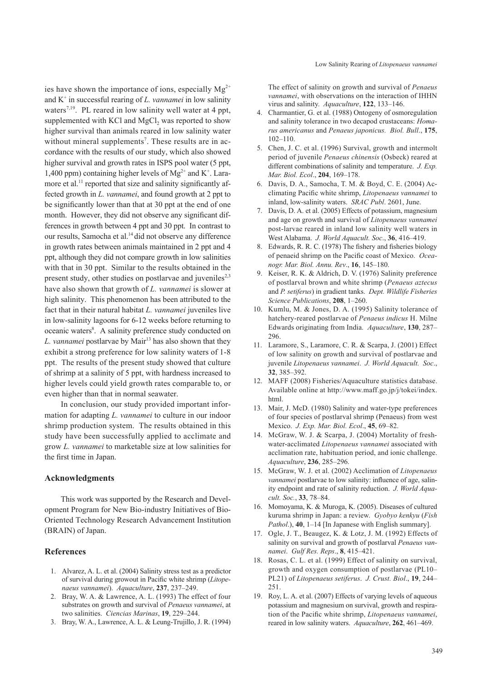ies have shown the importance of ions, especially  $Mg^{2+}$ and K+ in successful rearing of *L. vannamei* in low salinity waters<sup>7,19</sup>. PL reared in low salinity well water at 4 ppt, supplemented with KCl and MgCl<sub>2</sub> was reported to show higher survival than animals reared in low salinity water without mineral supplements<sup>7</sup>. These results are in accordance with the results of our study, which also showed higher survival and growth rates in ISPS pool water (5 ppt, 1,400 ppm) containing higher levels of  $Mg^{2+}$  and K<sup>+</sup>. Laramore et al.<sup>11</sup> reported that size and salinity significantly affected growth in *L. vannamei*, and found growth at 2 ppt to be significantly lower than that at 30 ppt at the end of one month. However, they did not observe any significant differences in growth between 4 ppt and 30 ppt. In contrast to our results, Samocha et al.<sup>14</sup> did not observe any difference in growth rates between animals maintained in 2 ppt and 4 ppt, although they did not compare growth in low salinities with that in 30 ppt. Similar to the results obtained in the present study, other studies on postlarvae and juveniles $2,3$ have also shown that growth of *L. vannamei* is slower at high salinity. This phenomenon has been attributed to the fact that in their natural habitat *L. vannamei* juveniles live in low-salinity lagoons for 6-12 weeks before returning to oceanic waters<sup>8</sup>. A salinity preference study conducted on *L. vannamei* postlarvae by Mair<sup>13</sup> has also shown that they exhibit a strong preference for low salinity waters of 1-8 ppt. The results of the present study showed that culture of shrimp at a salinity of 5 ppt, with hardness increased to higher levels could yield growth rates comparable to, or even higher than that in normal seawater.

In conclusion, our study provided important information for adapting *L. vannamei* to culture in our indoor shrimp production system. The results obtained in this study have been successfully applied to acclimate and grow *L. vannamei* to marketable size at low salinities for the first time in Japan.

#### **Acknowledgments**

This work was supported by the Research and Development Program for New Bio-industry Initiatives of Bio-Oriented Technology Research Advancement Institution (BRAIN) of Japan.

#### **References**

- 1. Alvarez, A. L. et al. (2004) Salinity stress test as a predictor of survival during growout in Pacific white shrimp (*Litopenaeus vannamei*). *Aquaculture*, **237**, 237–249.
- 2. Bray, W. A. & Lawrence, A. L. (1993) The effect of four substrates on growth and survival of *Penaeus vannamei*, at two salinities. *Ciencias Marinas*, **19**, 229–244.
- 3. Bray, W. A., Lawrence, A. L. & Leung-Trujillo, J. R. (1994)

The effect of salinity on growth and survival of *Penaeus vannamei*, with observations on the interaction of IHHN virus and salinity. *Aquaculture*, **122**, 133–146.

- 4. Charmantier, G. et al. (1988) Ontogeny of osmoregulation and salinity tolerance in two decapod crustaceans: *Homarus americanus* and *Penaeus japonicus. Biol. Bull*., **175**, 102–110.
- 5. Chen, J. C. et al. (1996) Survival, growth and intermolt period of juvenile *Penaeus chinensis* (Osbeck) reared at different combinations of salinity and temperature. *J. Exp. Mar. Biol. Ecol*., **204**, 169–178.
- 6. Davis, D. A., Samocha, T. M. & Boyd, C. E. (2004) Acclimating Pacific white shrimp, *Litopenaeus vannamei* to inland, low-salinity waters. *SRAC Publ*. 2601, June.
- 7. Davis, D. A. et al. (2005) Effects of potassium, magnesium and age on growth and survival of *Litopenaeus vannamei* post-larvae reared in inland low salinity well waters in West Alabama. *J. World Aquacult. Soc*., **36**, 416–419.
- 8. Edwards, R. R. C. (1978) The fishery and fisheries biology of penaeid shrimp on the Pacific coast of Mexico. *Oceanogr. Mar. Biol. Annu. Rev*., **16**, 145–180.
- 9. Keiser, R. K. & Aldrich, D. V. (1976) Salinity preference of postlarval brown and white shrimp (*Penaeus aztecus* and *P. setiferus*) in gradient tanks. *Dept. Wildlife Fisheries Science Publications*, **208**, 1–260.
- 10. Kumlu, M. & Jones, D. A. (1995) Salinity tolerance of hatchery-reared postlarvae of *Penaeus indicus* H. Milne Edwards originating from India. *Aquaculture*, **130**, 287– 296.
- 11. Laramore, S., Laramore, C. R. & Scarpa, J. (2001) Effect of low salinity on growth and survival of postlarvae and juvenile *Litopenaeus vannamei*. *J. World Aquacult. Soc*., **32**, 385–392.
- 12. MAFF (2008) Fisheries/Aquaculture statistics database. Available online at http://www.maff.go.jp/j/tokei/index. html.
- 13. Mair, J. McD. (1980) Salinity and water-type preferences of four species of postlarval shrimp (Penaeus) from west Mexico. *J. Exp. Mar. Biol. Ecol*., **45**, 69–82.
- 14. McGraw, W. J. & Scarpa, J. (2004) Mortality of freshwater-acclimated *Litopenaeus vannamei* associated with acclimation rate, habituation period, and ionic challenge. *Aquaculture*, **236**, 285–296.
- 15. McGraw, W. J. et al. (2002) Acclimation of *Litopenaeus vannamei* postlarvae to low salinity: influence of age, salinity endpoint and rate of salinity reduction. *J. World Aquacult. Soc.*, **33**, 78–84.
- 16. Momoyama, K. & Muroga, K. (2005). Diseases of cultured kuruma shrimp in Japan: a review. *Gyobyo kenkyu* (*Fish Pathol*.), **40**, 1–14 [In Japanese with English summary].
- 17. Ogle, J. T., Beaugez, K. & Lotz, J. M. (1992) Effects of salinity on survival and growth of postlarval *Penaeus vannamei*. *Gulf Res. Reps*., **8**, 415–421.
- 18. Rosas, C. L. et al. (1999) Effect of salinity on survival, growth and oxygen consumption of postlarvae (PL10– PL21) of *Litopenaeus setiferus*. *J. Crust. Biol*., **19**, 244– 251.
- 19. Roy, L. A. et al. (2007) Effects of varying levels of aqueous potassium and magnesium on survival, growth and respiration of the Pacific white shrimp, *Litopenaeus vannamei*, reared in low salinity waters. *Aquaculture*, **262**, 461–469.